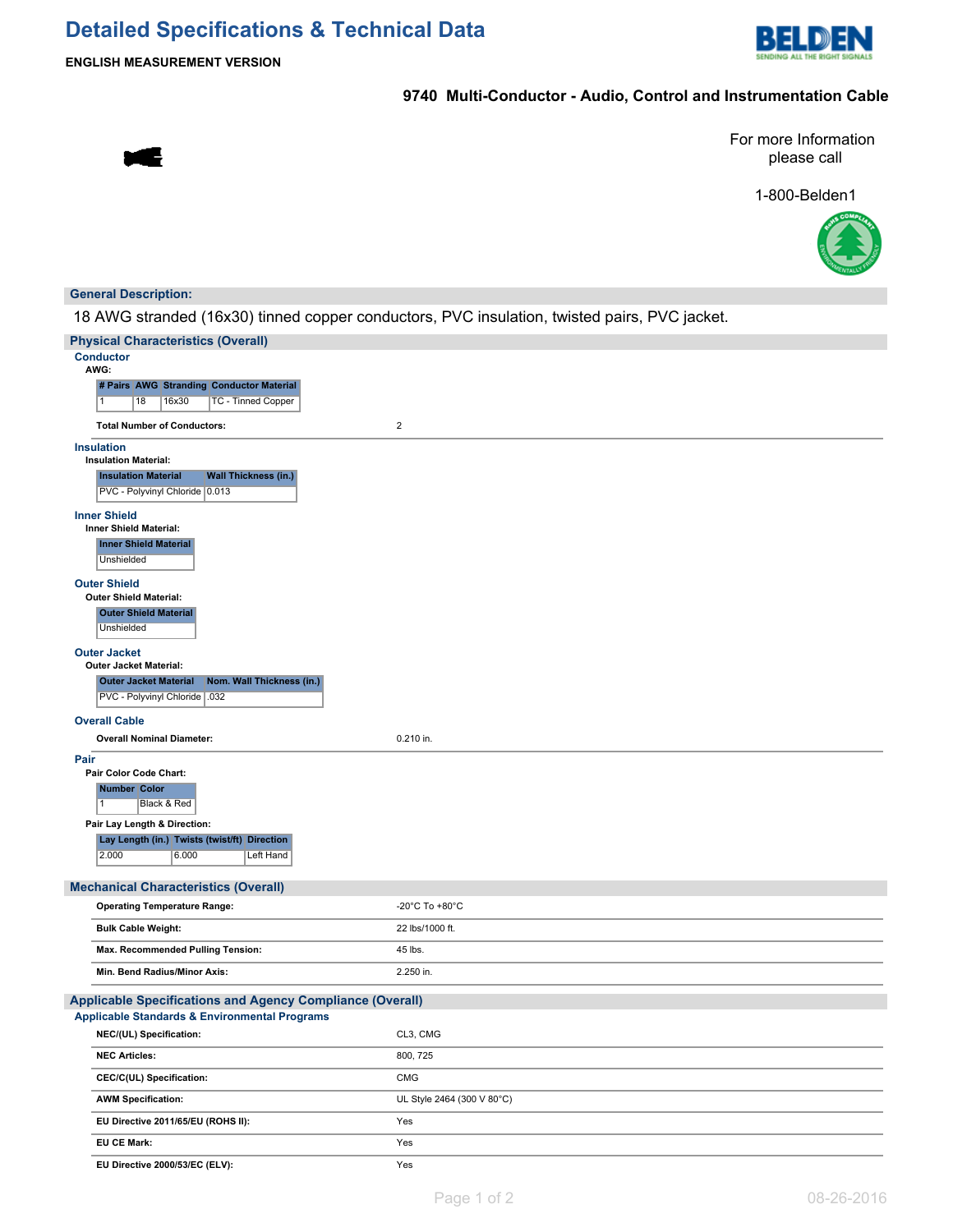# **Detailed Specifications & Technical Data**



**ENGLISH MEASUREMENT VERSION**

### **9740 Multi-Conductor - Audio, Control and Instrumentation Cable**

s

For more Information please call

1-800-Belden1



### **General Description:**

18 AWG stranded (16x30) tinned copper conductors, PVC insulation, twisted pairs, PVC jacket.

| <b>Physical Characteristics (Overall)</b>                                                   |                            |  |
|---------------------------------------------------------------------------------------------|----------------------------|--|
| <b>Conductor</b><br>AWG:                                                                    |                            |  |
| # Pairs AWG Stranding Conductor Material                                                    |                            |  |
| $\overline{1}$<br>18<br>16x30<br>TC - Tinned Copper                                         |                            |  |
| <b>Total Number of Conductors:</b>                                                          | $\overline{2}$             |  |
| <b>Insulation</b>                                                                           |                            |  |
| <b>Insulation Material:</b>                                                                 |                            |  |
| <b>Wall Thickness (in.)</b><br><b>Insulation Material</b><br>PVC - Polyvinyl Chloride 0.013 |                            |  |
| <b>Inner Shield</b>                                                                         |                            |  |
| <b>Inner Shield Material:</b>                                                               |                            |  |
| <b>Inner Shield Material</b><br>Unshielded                                                  |                            |  |
| <b>Outer Shield</b>                                                                         |                            |  |
| <b>Outer Shield Material:</b>                                                               |                            |  |
| <b>Outer Shield Material</b>                                                                |                            |  |
| Unshielded                                                                                  |                            |  |
| <b>Outer Jacket</b><br><b>Outer Jacket Material:</b>                                        |                            |  |
| Nom. Wall Thickness (in.)<br><b>Outer Jacket Material</b>                                   |                            |  |
| PVC - Polyvinyl Chloride   .032                                                             |                            |  |
| <b>Overall Cable</b>                                                                        |                            |  |
| <b>Overall Nominal Diameter:</b>                                                            | 0.210 in.                  |  |
| Pair                                                                                        |                            |  |
| Pair Color Code Chart:                                                                      |                            |  |
| <b>Number Color</b>                                                                         |                            |  |
| $\overline{1}$<br>Black & Red                                                               |                            |  |
| Pair Lay Length & Direction:                                                                |                            |  |
| Lay Length (in.) Twists (twist/ft) Direction<br>2.000<br>6.000<br>Left Hand                 |                            |  |
|                                                                                             |                            |  |
| <b>Mechanical Characteristics (Overall)</b><br><b>Operating Temperature Range:</b>          | -20°C To +80°C             |  |
|                                                                                             |                            |  |
| <b>Bulk Cable Weight:</b>                                                                   | 22 lbs/1000 ft.            |  |
| Max. Recommended Pulling Tension:                                                           | 45 lbs.                    |  |
| Min. Bend Radius/Minor Axis:                                                                | 2.250 in.                  |  |
| <b>Applicable Specifications and Agency Compliance (Overall)</b>                            |                            |  |
| <b>Applicable Standards &amp; Environmental Programs</b>                                    |                            |  |
| NEC/(UL) Specification:                                                                     | CL3, CMG                   |  |
| <b>NEC Articles:</b>                                                                        | 800, 725                   |  |
| CEC/C(UL) Specification:                                                                    | CMG                        |  |
| <b>AWM Specification:</b>                                                                   | UL Style 2464 (300 V 80°C) |  |
| EU Directive 2011/65/EU (ROHS II):                                                          | Yes                        |  |
| EU CE Mark:                                                                                 | Yes                        |  |
| EU Directive 2000/53/EC (ELV):                                                              | Yes                        |  |